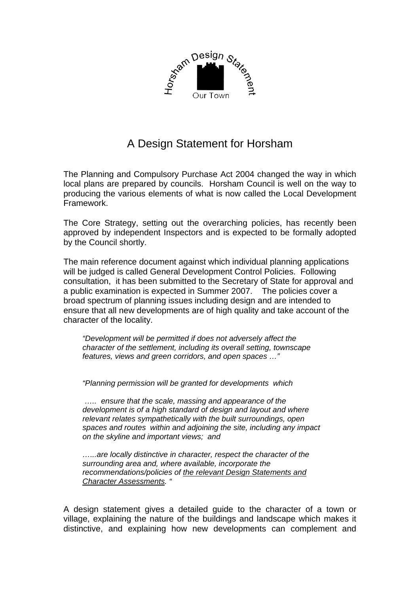

## A Design Statement for Horsham

The Planning and Compulsory Purchase Act 2004 changed the way in which local plans are prepared by councils. Horsham Council is well on the way to producing the various elements of what is now called the Local Development Framework.

The Core Strategy, setting out the overarching policies, has recently been approved by independent Inspectors and is expected to be formally adopted by the Council shortly.

The main reference document against which individual planning applications will be judged is called General Development Control Policies. Following consultation, it has been submitted to the Secretary of State for approval and a public examination is expected in Summer 2007. The policies cover a broad spectrum of planning issues including design and are intended to ensure that all new developments are of high quality and take account of the character of the locality.

*"Development will be permitted if does not adversely affect the character of the settlement, including its overall setting, townscape features, views and green corridors, and open spaces …"* 

*"Planning permission will be granted for developments which* 

 *….. ensure that the scale, massing and appearance of the development is of a high standard of design and layout and where relevant relates sympathetically with the built surroundings, open spaces and routes within and adjoining the site, including any impact on the skyline and important views; and* 

*…...are locally distinctive in character, respect the character of the surrounding area and, where available, incorporate the recommendations/policies of the relevant Design Statements and Character Assessments. "* 

A design statement gives a detailed guide to the character of a town or village, explaining the nature of the buildings and landscape which makes it distinctive, and explaining how new developments can complement and